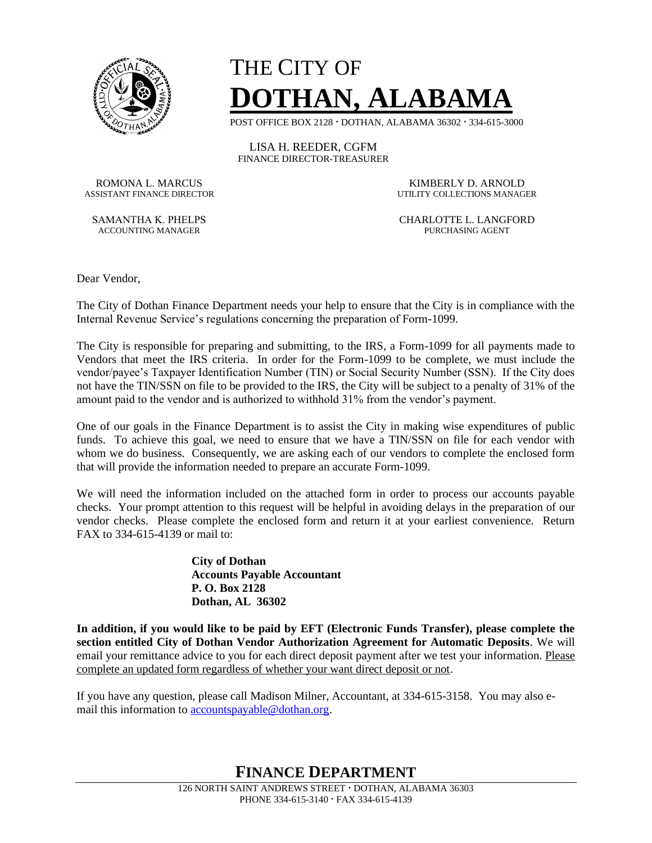

## THE CITY OF **DOTHAN, ALABAMA**

POST OFFICE BOX 2128 **·** DOTHAN, ALABAMA 36302 **·** 334-615-3000

LISA H. REEDER, CGFM FINANCE DIRECTOR-TREASURER

ROMONA L. MARCUS KIMBERLY D. ARNOLD

ACCOUNTING MANAGER **PURCHASING AGENT** 

UTILITY COLLECTIONS MANAGER

SAMANTHA K. PHELPS CHARLOTTE L. LANGFORD

Dear Vendor,

The City of Dothan Finance Department needs your help to ensure that the City is in compliance with the Internal Revenue Service's regulations concerning the preparation of Form-1099.

The City is responsible for preparing and submitting, to the IRS, a Form-1099 for all payments made to Vendors that meet the IRS criteria. In order for the Form-1099 to be complete, we must include the vendor/payee's Taxpayer Identification Number (TIN) or Social Security Number (SSN). If the City does not have the TIN/SSN on file to be provided to the IRS, the City will be subject to a penalty of 31% of the amount paid to the vendor and is authorized to withhold 31% from the vendor's payment.

One of our goals in the Finance Department is to assist the City in making wise expenditures of public funds. To achieve this goal, we need to ensure that we have a TIN/SSN on file for each vendor with whom we do business. Consequently, we are asking each of our vendors to complete the enclosed form that will provide the information needed to prepare an accurate Form-1099.

We will need the information included on the attached form in order to process our accounts payable checks. Your prompt attention to this request will be helpful in avoiding delays in the preparation of our vendor checks. Please complete the enclosed form and return it at your earliest convenience. Return FAX to 334-615-4139 or mail to:

> **City of Dothan Accounts Payable Accountant P. O. Box 2128 Dothan, AL 36302**

**In addition, if you would like to be paid by EFT (Electronic Funds Transfer), please complete the section entitled City of Dothan Vendor Authorization Agreement for Automatic Deposits**. We will email your remittance advice to you for each direct deposit payment after we test your information. Please complete an updated form regardless of whether your want direct deposit or not.

If you have any question, please call Madison Milner, Accountant, at 334-615-3158. You may also email this information to [accountspayable@dothan.org.](mailto:accountspayable@dothan.org)

**FINANCE DEPARTMENT**